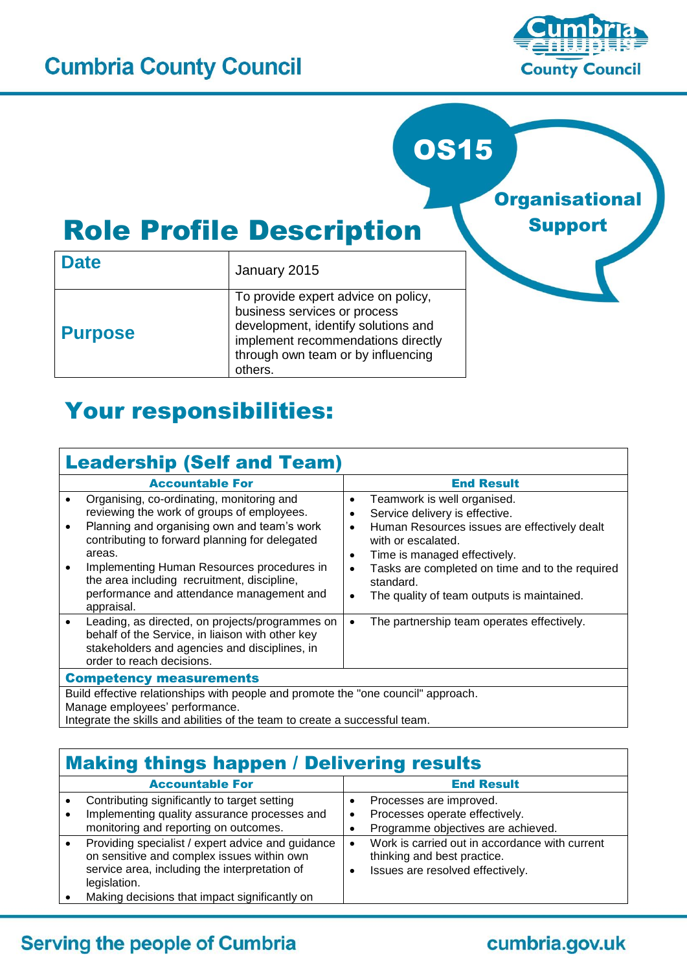

**Organisational** 

Support

# **OS15**

# Role Profile Description

| <b>Date</b>    | January 2015                                                                                                                                                                                      |  |  |
|----------------|---------------------------------------------------------------------------------------------------------------------------------------------------------------------------------------------------|--|--|
| <b>Purpose</b> | To provide expert advice on policy,<br>business services or process<br>development, identify solutions and<br>implement recommendations directly<br>through own team or by influencing<br>others. |  |  |

## Your responsibilities:

| <b>Leadership (Self and Team)</b>                                                                                                                                                                                                                                                                                                                          |                                                                                                                                                                                                                                                                                                                                                    |  |  |
|------------------------------------------------------------------------------------------------------------------------------------------------------------------------------------------------------------------------------------------------------------------------------------------------------------------------------------------------------------|----------------------------------------------------------------------------------------------------------------------------------------------------------------------------------------------------------------------------------------------------------------------------------------------------------------------------------------------------|--|--|
| <b>Accountable For</b>                                                                                                                                                                                                                                                                                                                                     | <b>End Result</b>                                                                                                                                                                                                                                                                                                                                  |  |  |
| Organising, co-ordinating, monitoring and<br>reviewing the work of groups of employees.<br>Planning and organising own and team's work<br>contributing to forward planning for delegated<br>areas.<br>Implementing Human Resources procedures in<br>the area including recruitment, discipline,<br>performance and attendance management and<br>appraisal. | Teamwork is well organised.<br>$\bullet$<br>Service delivery is effective.<br>Human Resources issues are effectively dealt<br>$\bullet$<br>with or escalated.<br>Time is managed effectively.<br>$\bullet$<br>Tasks are completed on time and to the required<br>$\bullet$<br>standard.<br>The quality of team outputs is maintained.<br>$\bullet$ |  |  |
| Leading, as directed, on projects/programmes on<br>behalf of the Service, in liaison with other key<br>stakeholders and agencies and disciplines, in<br>order to reach decisions.                                                                                                                                                                          | The partnership team operates effectively.<br>$\bullet$                                                                                                                                                                                                                                                                                            |  |  |
| <b>Competency measurements</b>                                                                                                                                                                                                                                                                                                                             |                                                                                                                                                                                                                                                                                                                                                    |  |  |
| Build effective relationships with people and promote the "one council" approach.<br>Manage employees' performance.                                                                                                                                                                                                                                        |                                                                                                                                                                                                                                                                                                                                                    |  |  |

Integrate the skills and abilities of the team to create a successful team.

#### Making things happen / Delivering results Accountable For **End Result**  Contributing significantly to target setting Implementing quality assurance processes and monitoring and reporting on outcomes. • Processes are improved. • Processes operate effectively. Programme objectives are achieved. • Providing specialist / expert advice and guidance on sensitive and complex issues within own service area, including the interpretation of legislation. Making decisions that impact significantly on Work is carried out in accordance with current thinking and best practice. • Issues are resolved effectively.

#### **Serving the people of Cumbria**

#### cumbria.gov.uk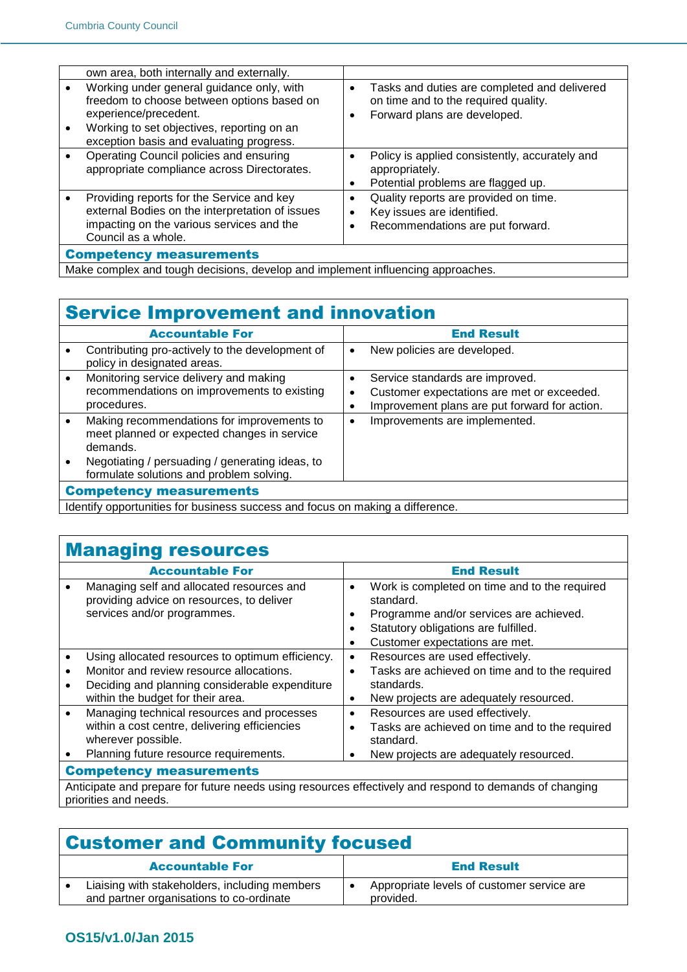|                                | own area, both internally and externally.                                                                                                                                                                  |                |                                                                                                                      |
|--------------------------------|------------------------------------------------------------------------------------------------------------------------------------------------------------------------------------------------------------|----------------|----------------------------------------------------------------------------------------------------------------------|
| $\bullet$<br>$\bullet$         | Working under general guidance only, with<br>freedom to choose between options based on<br>experience/precedent.<br>Working to set objectives, reporting on an<br>exception basis and evaluating progress. | $\bullet$<br>٠ | Tasks and duties are completed and delivered<br>on time and to the required quality.<br>Forward plans are developed. |
| $\bullet$                      | Operating Council policies and ensuring<br>appropriate compliance across Directorates.                                                                                                                     | $\bullet$      | Policy is applied consistently, accurately and<br>appropriately.<br>Potential problems are flagged up.               |
| $\bullet$                      | Providing reports for the Service and key<br>external Bodies on the interpretation of issues<br>impacting on the various services and the<br>Council as a whole.                                           | ٠              | Quality reports are provided on time.<br>Key issues are identified.<br>Recommendations are put forward.              |
| <b>Competency measurements</b> |                                                                                                                                                                                                            |                |                                                                                                                      |
|                                | Make complex and tough decisions, develop and implement influencing approaches.                                                                                                                            |                |                                                                                                                      |

### Service Improvement and innovation

|                                | <b>Accountable For</b>                                                                                                                                                                               |           | <b>End Result</b>                                                                                                              |
|--------------------------------|------------------------------------------------------------------------------------------------------------------------------------------------------------------------------------------------------|-----------|--------------------------------------------------------------------------------------------------------------------------------|
|                                | Contributing pro-actively to the development of<br>policy in designated areas.                                                                                                                       | ٠         | New policies are developed.                                                                                                    |
|                                | Monitoring service delivery and making<br>recommendations on improvements to existing<br>procedures.                                                                                                 | ٠         | Service standards are improved.<br>Customer expectations are met or exceeded.<br>Improvement plans are put forward for action. |
|                                | Making recommendations for improvements to<br>meet planned or expected changes in service<br>demands.<br>Negotiating / persuading / generating ideas, to<br>formulate solutions and problem solving. | $\bullet$ | Improvements are implemented.                                                                                                  |
| <b>Competency measurements</b> |                                                                                                                                                                                                      |           |                                                                                                                                |
|                                | talantifus ann antunaitie a fan burainean eus ann an an faous, an meablan a aliffennaan                                                                                                              |           |                                                                                                                                |

I Identify opportunities for business success and focus on making a difference.

#### **Managing resources**

|                                | <b>Accountable For</b>                                                                                                |                                  | <b>End Result</b>                                                                                                                                                               |  |
|--------------------------------|-----------------------------------------------------------------------------------------------------------------------|----------------------------------|---------------------------------------------------------------------------------------------------------------------------------------------------------------------------------|--|
|                                | Managing self and allocated resources and<br>providing advice on resources, to deliver<br>services and/or programmes. | $\bullet$<br>٠<br>$\bullet$<br>٠ | Work is completed on time and to the required<br>standard.<br>Programme and/or services are achieved.<br>Statutory obligations are fulfilled.<br>Customer expectations are met. |  |
|                                | Using allocated resources to optimum efficiency.                                                                      | $\bullet$                        | Resources are used effectively.                                                                                                                                                 |  |
|                                | Monitor and review resource allocations.                                                                              | $\bullet$                        | Tasks are achieved on time and to the required                                                                                                                                  |  |
|                                | Deciding and planning considerable expenditure                                                                        |                                  | standards.                                                                                                                                                                      |  |
|                                | within the budget for their area.                                                                                     | $\bullet$                        | New projects are adequately resourced.                                                                                                                                          |  |
|                                | Managing technical resources and processes                                                                            | $\bullet$                        | Resources are used effectively.                                                                                                                                                 |  |
|                                | within a cost centre, delivering efficiencies<br>wherever possible.                                                   | $\bullet$                        | Tasks are achieved on time and to the required<br>standard.                                                                                                                     |  |
|                                |                                                                                                                       |                                  |                                                                                                                                                                                 |  |
|                                | Planning future resource requirements.                                                                                | ٠                                | New projects are adequately resourced.                                                                                                                                          |  |
| <b>Competency measurements</b> |                                                                                                                       |                                  |                                                                                                                                                                                 |  |
|                                | Anticipate and means the future needs using resources officitively and reposed to demonstrate of department           |                                  |                                                                                                                                                                                 |  |

Anticipate and prepare for future needs using resources effectively and respond to demands of changing priorities and needs.

## Customer and Community focused

| <b>Accountable For</b>                                                                    |  | <b>End Result</b>                                       |  |
|-------------------------------------------------------------------------------------------|--|---------------------------------------------------------|--|
| Liaising with stakeholders, including members<br>and partner organisations to co-ordinate |  | Appropriate levels of customer service are<br>provided. |  |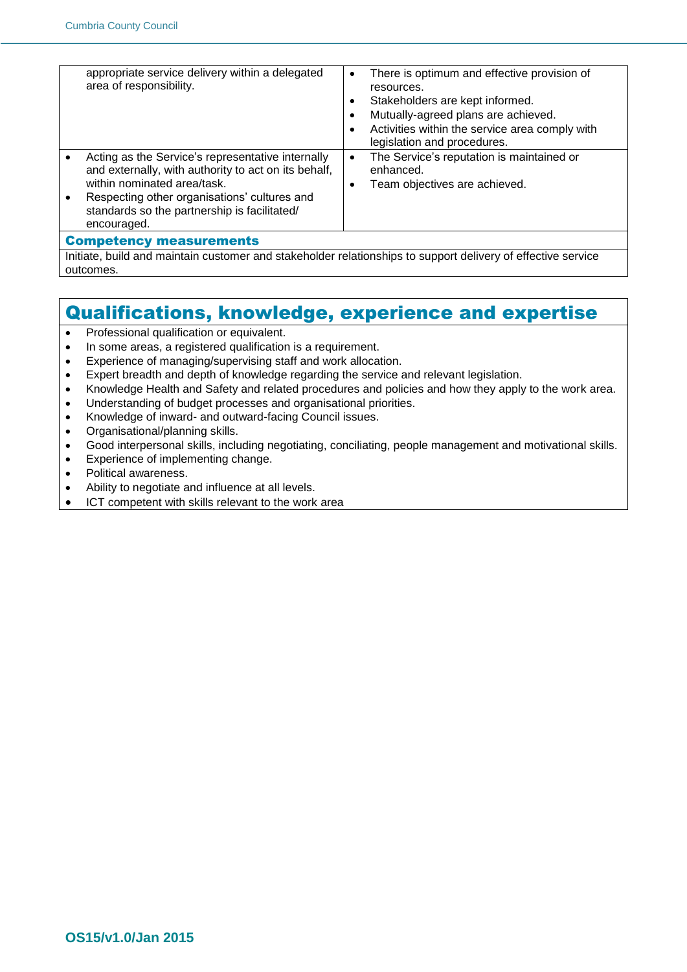|                                                                                                              | appropriate service delivery within a delegated<br>area of responsibility.                                                                                                                                                                              | $\bullet$<br>٠<br>$\bullet$<br>$\bullet$ | There is optimum and effective provision of<br>resources.<br>Stakeholders are kept informed.<br>Mutually-agreed plans are achieved.<br>Activities within the service area comply with<br>legislation and procedures. |
|--------------------------------------------------------------------------------------------------------------|---------------------------------------------------------------------------------------------------------------------------------------------------------------------------------------------------------------------------------------------------------|------------------------------------------|----------------------------------------------------------------------------------------------------------------------------------------------------------------------------------------------------------------------|
|                                                                                                              | Acting as the Service's representative internally<br>and externally, with authority to act on its behalf,<br>within nominated area/task.<br>Respecting other organisations' cultures and<br>standards so the partnership is facilitated/<br>encouraged. | $\bullet$<br>$\bullet$                   | The Service's reputation is maintained or<br>enhanced.<br>Team objectives are achieved.                                                                                                                              |
| <b>Competency measurements</b>                                                                               |                                                                                                                                                                                                                                                         |                                          |                                                                                                                                                                                                                      |
| Initiate, build and maintain customer and stakeholder relationships to support delivery of effective service |                                                                                                                                                                                                                                                         |                                          |                                                                                                                                                                                                                      |

#### Qualifications, knowledge, experience and expertise

- Professional qualification or equivalent.
- In some areas, a registered qualification is a requirement.
- Experience of managing/supervising staff and work allocation.
- Expert breadth and depth of knowledge regarding the service and relevant legislation.
- Knowledge Health and Safety and related procedures and policies and how they apply to the work area.
- Understanding of budget processes and organisational priorities.
- Knowledge of inward- and outward-facing Council issues.
- Organisational/planning skills.
- Good interpersonal skills, including negotiating, conciliating, people management and motivational skills.
- Experience of implementing change.
- Political awareness.

outcomes.

- Ability to negotiate and influence at all levels.
- ICT competent with skills relevant to the work area